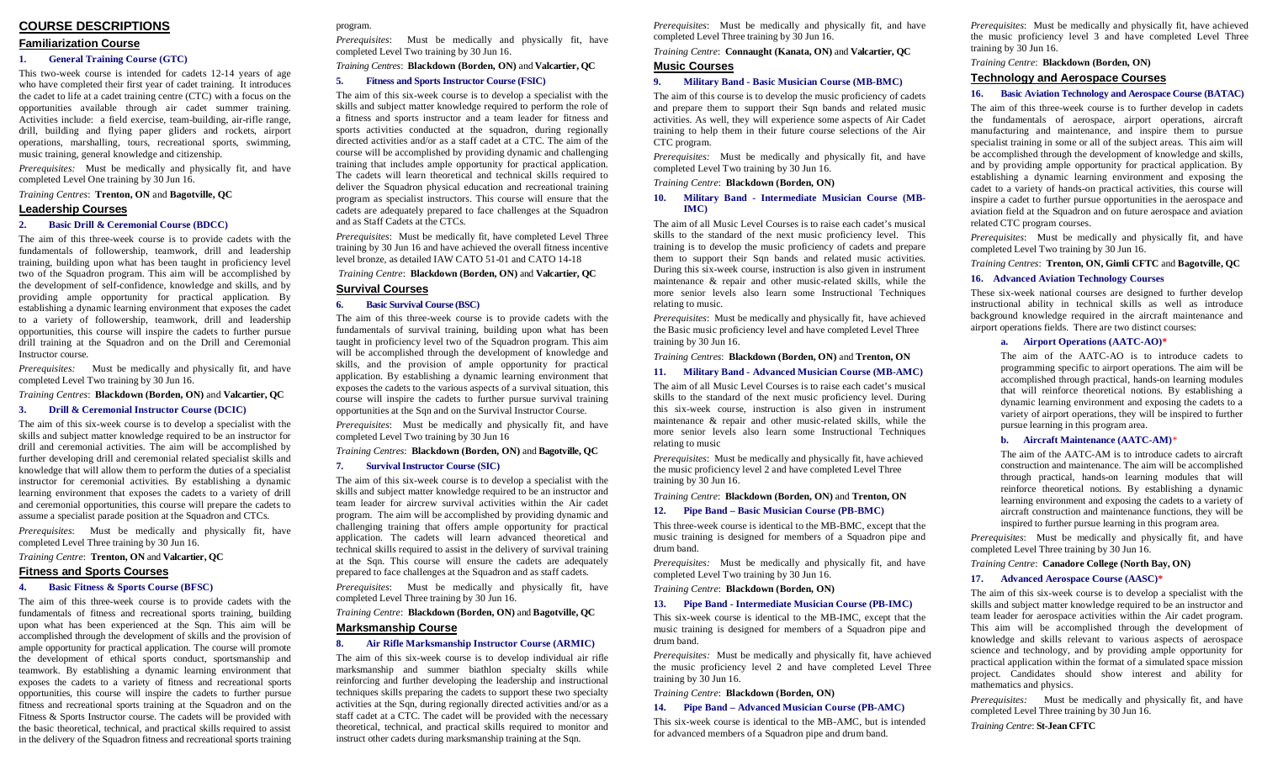# **COURSE DESCRIPTIONS**

# **Familiarization Course**

## **1. General Training Course (GTC)**

This two-week course is intended for cadets 12-14 years of age who have completed their first year of cadet training. It introduces the cadet to life at a cadet training centre (CTC) with a focus on the opportunities available through air cadet summer training. Activities include: a field exercise, team-building, air-rifle range, drill, building and flying paper gliders and rockets, airport operations, marshalling, tours, recreational sports, swimming, music training, general knowledge and citizenship.

*Prerequisites:* Must be medically and physically fit, and have completed Level One training by 30 Jun 16.

*Training Centres*: **Trenton, ON** and **Bagotville, QC**

## **Leadership Courses**

## **2. Basic Drill & Ceremonial Course (BDCC)**

The aim of this three-week course is to provide cadets with the fundamentals of followership, teamwork, drill and leadership training, building upon what has been taught in proficiency level two of the Squadron program. This aim will be accomplished by the development of self-confidence, knowledge and skills, and by providing ample opportunity for practical application. By establishing a dynamic learning environment that exposes the cadet to a variety of followership, teamwork, drill and leadership opportunities, this course will inspire the cadets to further pursue drill training at the Squadron and on the Drill and Ceremonial Instructor course.

*Prerequisites:* Must be medically and physically fit, and have completed Level Two training by 30 Jun 16.

# *Training Centres*: **Blackdown (Borden, ON)** and **Valcartier, QC**

#### **3. Drill & Ceremonial Instructor Course (DCIC)**

The aim of this six-week course is to develop a specialist with the skills and subject matter knowledge required to be an instructor for drill and ceremonial activities. The aim will be accomplished by further developing drill and ceremonial related specialist skills and knowledge that will allow them to perform the duties of a specialist instructor for ceremonial activities. By establishing a dynamic learning environment that exposes the cadets to a variety of drill and ceremonial opportunities, this course will prepare the cadets to assume a specialist parade position at the Squadron and CTCs.

*Prerequisites*: Must be medically and physically fit, have completed Level Three training by 30 Jun 16.

### *Training Centre*: **Trenton, ON** and **Valcartier, QC**

#### **Fitness and Sports Courses**

# **4. Basic Fitness & Sports Course (BFSC)**

The aim of this three-week course is to provide cadets with the fundamentals of fitness and recreational sports training, building upon what has been experienced at the Sqn. This aim will be accomplished through the development of skills and the provision of ample opportunity for practical application. The course will promote the development of ethical sports conduct, sportsmanship and teamwork. By establishing a dynamic learning environment that exposes the cadets to a variety of fitness and recreational sports opportunities, this course will inspire the cadets to further pursue fitness and recreational sports training at the Squadron and on the Fitness & Sports Instructor course. The cadets will be provided with the basic theoretical, technical, and practical skills required to assist in the delivery of the Squadron fitness and recreational sports training

# program.

*Prerequisites*: Must be medically and physically fit, have completed Level Two training by 30 Jun 16.

*Training Centres*: **Blackdown (Borden, ON)** and **Valcartier, QC**

## **5. Fitness and Sports Instructor Course (FSIC)**

The aim of this six-week course is to develop a specialist with the skills and subject matter knowledge required to perform the role of a fitness and sports instructor and a team leader for fitness and sports activities conducted at the squadron, during regionally directed activities and/or as a staff cadet at a CTC. The aim of the course will be accomplished by providing dynamic and challenging training that includes ample opportunity for practical application. The cadets will learn theoretical and technical skills required to deliver the Squadron physical education and recreational training program as specialist instructors. This course will ensure that the cadets are adequately prepared to face challenges at the Squadron and as Staff Cadets at the CTCs.

*Prerequisites*: Must be medically fit, have completed Level Three training by 30 Jun 16 and have achieved the overall fitness incentive level bronze, as detailed IAW CATO 51-01 and CATO 14-18

# *Training Centre*: **Blackdown (Borden, ON)** and **Valcartier, QC**

## **Survival Courses**

# **6. Basic Survival Course (BSC)**

The aim of this three-week course is to provide cadets with the fundamentals of survival training, building upon what has been taught in proficiency level two of the Squadron program. This aim will be accomplished through the development of knowledge and skills, and the provision of ample opportunity for practical application. By establishing a dynamic learning environment that exposes the cadets to the various aspects of a survival situation, this course will inspire the cadets to further pursue survival training opportunities at the Sqn and on the Survival Instructor Course.

*Prerequisites*: Must be medically and physically fit, and have completed Level Two training by 30 Jun 16

## *Training Centres*: **Blackdown (Borden, ON)** and **Bagotville, QC**

#### **7. Survival Instructor Course (SIC)**

The aim of this six-week course is to develop a specialist with the skills and subject matter knowledge required to be an instructor and team leader for aircrew survival activities within the Air cadet program. The aim will be accomplished by providing dynamic and challenging training that offers ample opportunity for practical application. The cadets will learn advanced theoretical and technical skills required to assist in the delivery of survival training at the Sqn. This course will ensure the cadets are adequately prepared to face challenges at the Squadron and as staff cadets.

*Prerequisites*: Must be medically and physically fit, have completed Level Three training by 30 Jun 16.

#### *Training Centre*: **Blackdown (Borden, ON)** and **Bagotville, QC**

# **Marksmanship Course**

# **8. Air Rifle Marksmanship Instructor Course (ARMIC)**

The aim of this six-week course is to develop individual air rifle marksmanship and summer biathlon specialty skills while reinforcing and further developing the leadership and instructional techniques skills preparing the cadets to support these two specialty activities at the Sqn, during regionally directed activities and/or as a staff cadet at a CTC. The cadet will be provided with the necessary theoretical, technical, and practical skills required to monitor and instruct other cadets during marksmanship training at the Sqn.

*Prerequisites*: Must be medically and physically fit, and have completed Level Three training by 30 Jun 16.

*Training Centre*: **Connaught (Kanata, ON)** and **Valcartier, QC Music Courses**

# **9. Military Band - Basic Musician Course (MB-BMC)**

The aim of this course is to develop the music proficiency of cadets and prepare them to support their Sqn bands and related music activities. As well, they will experience some aspects of Air Cadet training to help them in their future course selections of the Air CTC program.

*Prerequisites:* Must be medically and physically fit, and have completed Level Two training by 30 Jun 16.

*Training Centre*: **Blackdown (Borden, ON)**

### **10. Military Band - Intermediate Musician Course (MB-IMC)**

The aim of all Music Level Courses is to raise each cadet's musical skills to the standard of the next music proficiency level. This training is to develop the music proficiency of cadets and prepare them to support their Sqn bands and related music activities. During this six-week course, instruction is also given in instrument maintenance & repair and other music-related skills, while the more senior levels also learn some Instructional Techniques relating to music.

*Prerequisites*: Must be medically and physically fit, have achieved the Basic music proficiency level and have completed Level Three training by 30 Jun 16.

#### *Training Centres*: **Blackdown (Borden, ON)** and **Trenton, ON**

# **11. Military Band - Advanced Musician Course (MB-AMC)**

The aim of all Music Level Courses is to raise each cadet's musical skills to the standard of the next music proficiency level. During this six-week course, instruction is also given in instrument maintenance & repair and other music-related skills, while the more senior levels also learn some Instructional Techniques relating to music

*Prerequisites*: Must be medically and physically fit, have achieved the music proficiency level 2 and have completed Level Three training by 30 Jun 16.

#### *Training Centre*: **Blackdown (Borden, ON)** and **Trenton, ON**

### **12. Pipe Band – Basic Musician Course (PB-BMC)**

This three-week course is identical to the MB-BMC, except that the music training is designed for members of a Squadron pipe and drum band.

*Prerequisites:* Must be medically and physically fit, and have completed Level Two training by 30 Jun 16.

*Training Centre*: **Blackdown (Borden, ON)**

# **13. Pipe Band - Intermediate Musician Course (PB-IMC)**

This six-week course is identical to the MB-IMC, except that the music training is designed for members of a Squadron pipe and drum band.

*Prerequisites:* Must be medically and physically fit, have achieved the music proficiency level 2 and have completed Level Three training by 30 Jun 16.

*Training Centre*: **Blackdown (Borden, ON)**

## **14. Pipe Band – Advanced Musician Course (PB-AMC)**

This six-week course is identical to the MB-AMC, but is intended for advanced members of a Squadron pipe and drum band.

*Prerequisites*: Must be medically and physically fit, have achieved the music proficiency level 3 and have completed Level Three training by 30 Jun 16.

# *Training Centre*: **Blackdown (Borden, ON)**

# **Technology and Aerospace Courses**

# **16. Basic Aviation Technology and Aerospace Course (BATAC)**

The aim of this three-week course is to further develop in cadets the fundamentals of aerospace, airport operations, aircraft manufacturing and maintenance, and inspire them to pursue specialist training in some or all of the subject areas. This aim will be accomplished through the development of knowledge and skills, and by providing ample opportunity for practical application. By establishing a dynamic learning environment and exposing the cadet to a variety of hands-on practical activities, this course will inspire a cadet to further pursue opportunities in the aerospace and aviation field at the Squadron and on future aerospace and aviation related CTC program courses.

*Prerequisites*: Must be medically and physically fit, and have completed Level Two training by 30 Jun 16.

*Training Centres*: **Trenton, ON, Gimli CFTC** and **Bagotville, QC**

# **16. Advanced Aviation Technology Courses**

These six-week national courses are designed to further develop instructional ability in technical skills as well as introduce background knowledge required in the aircraft maintenance and airport operations fields. There are two distinct courses:

# **a. Airport Operations (AATC-AO)\***

The aim of the AATC-AO is to introduce cadets to programming specific to airport operations. The aim will be accomplished through practical, hands-on learning modules that will reinforce theoretical notions. By establishing a dynamic learning environment and exposing the cadets to a variety of airport operations, they will be inspired to further pursue learning in this program area.

# **b. Aircraft Maintenance (AATC-AM)**\*

The aim of the AATC-AM is to introduce cadets to aircraft construction and maintenance. The aim will be accomplished through practical, hands-on learning modules that will reinforce theoretical notions. By establishing a dynamic learning environment and exposing the cadets to a variety of aircraft construction and maintenance functions, they will be inspired to further pursue learning in this program area.

*Prerequisites*: Must be medically and physically fit, and have completed Level Three training by 30 Jun 16.

*Training Centre*: **Canadore College (North Bay, ON)**

# **17. Advanced Aerospace Course (AASC)\***

The aim of this six-week course is to develop a specialist with the skills and subject matter knowledge required to be an instructor and team leader for aerospace activities within the Air cadet program. This aim will be accomplished through the development of knowledge and skills relevant to various aspects of aerospace science and technology, and by providing ample opportunity for practical application within the format of a simulated space mission project. Candidates should show interest and ability for mathematics and physics.

*Prerequisites:* Must be medically and physically fit, and have completed Level Three training by 30 Jun 16.

*Training Centre*: **St-Jean CFTC**